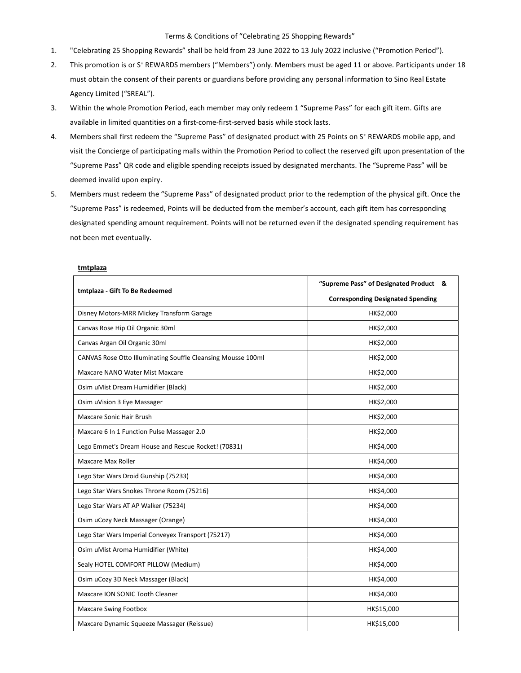## Terms & Conditions of "Celebrating 25 Shopping Rewards"

- 1. "Celebrating 25 Shopping Rewards" shall be held from 23 June 2022 to 13 July 2022 inclusive ("Promotion Period").
- 2. This promotion is or S<sup>+</sup> REWARDS members ("Members") only. Members must be aged 11 or above. Participants under 18 must obtain the consent of their parents or guardians before providing any personal information to Sino Real Estate Agency Limited ("SREAL").
- 3. Within the whole Promotion Period, each member may only redeem 1 "Supreme Pass" for each gift item. Gifts are available in limited quantities on a first-come-first-served basis while stock lasts.
- 4. Members shall first redeem the "Supreme Pass" of designated product with 25 Points on S<sup>+</sup> REWARDS mobile app, and visit the Concierge of participating malls within the Promotion Period to collect the reserved gift upon presentation of the "Supreme Pass" QR code and eligible spending receipts issued by designated merchants. The "Supreme Pass" will be deemed invalid upon expiry.
- 5. Members must redeem the "Supreme Pass" of designated product prior to the redemption of the physical gift. Once the "Supreme Pass" is redeemed, Points will be deducted from the member's account, each gift item has corresponding designated spending amount requirement. Points will not be returned even if the designated spending requirement has not been met eventually.

| tmtplaza - Gift To Be Redeemed                               | "Supreme Pass" of Designated Product &   |
|--------------------------------------------------------------|------------------------------------------|
|                                                              | <b>Corresponding Designated Spending</b> |
| Disney Motors-MRR Mickey Transform Garage                    | HK\$2,000                                |
| Canvas Rose Hip Oil Organic 30ml                             | HK\$2,000                                |
| Canvas Argan Oil Organic 30ml                                | HK\$2,000                                |
| CANVAS Rose Otto Illuminating Souffle Cleansing Mousse 100ml | HK\$2,000                                |
| Maxcare NANO Water Mist Maxcare                              | HK\$2,000                                |
| Osim uMist Dream Humidifier (Black)                          | HK\$2,000                                |
| Osim uVision 3 Eye Massager                                  | HK\$2,000                                |
| Maxcare Sonic Hair Brush                                     | HK\$2,000                                |
| Maxcare 6 In 1 Function Pulse Massager 2.0                   | HK\$2,000                                |
| Lego Emmet's Dream House and Rescue Rocket! (70831)          | HK\$4,000                                |
| <b>Maxcare Max Roller</b>                                    | HK\$4,000                                |
| Lego Star Wars Droid Gunship (75233)                         | HK\$4,000                                |
| Lego Star Wars Snokes Throne Room (75216)                    | HK\$4,000                                |
| Lego Star Wars AT AP Walker (75234)                          | HK\$4,000                                |
| Osim uCozy Neck Massager (Orange)                            | HK\$4,000                                |
| Lego Star Wars Imperial Conveyex Transport (75217)           | HK\$4,000                                |
| Osim uMist Aroma Humidifier (White)                          | HK\$4,000                                |
| Sealy HOTEL COMFORT PILLOW (Medium)                          | HK\$4,000                                |
| Osim uCozy 3D Neck Massager (Black)                          | HK\$4,000                                |
| Maxcare ION SONIC Tooth Cleaner                              | HK\$4,000                                |
| <b>Maxcare Swing Footbox</b>                                 | HK\$15,000                               |
| Maxcare Dynamic Squeeze Massager (Reissue)                   | HK\$15,000                               |

## **tmtplaza**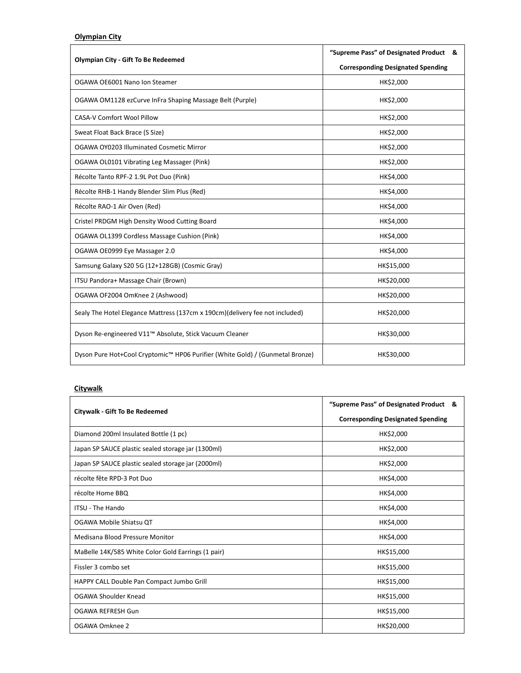## Olympian City

| <b>Olympian City - Gift To Be Redeemed</b>                                    | "Supreme Pass" of Designated Product &   |
|-------------------------------------------------------------------------------|------------------------------------------|
|                                                                               | <b>Corresponding Designated Spending</b> |
| OGAWA OE6001 Nano Ion Steamer                                                 | HK\$2,000                                |
| OGAWA OM1128 ezCurve InFra Shaping Massage Belt (Purple)                      | HK\$2,000                                |
| <b>CASA-V Comfort Wool Pillow</b>                                             | HK\$2,000                                |
| Sweat Float Back Brace (S Size)                                               | HK\$2,000                                |
| OGAWA OY0203 Illuminated Cosmetic Mirror                                      | HK\$2,000                                |
| OGAWA OL0101 Vibrating Leg Massager (Pink)                                    | HK\$2,000                                |
| Récolte Tanto RPF-2 1.9L Pot Duo (Pink)                                       | HK\$4,000                                |
| Récolte RHB-1 Handy Blender Slim Plus (Red)                                   | HK\$4,000                                |
| Récolte RAO-1 Air Oven (Red)                                                  | HK\$4,000                                |
| Cristel PRDGM High Density Wood Cutting Board                                 | HK\$4,000                                |
| OGAWA OL1399 Cordless Massage Cushion (Pink)                                  | HK\$4,000                                |
| OGAWA OE0999 Eye Massager 2.0                                                 | HK\$4,000                                |
| Samsung Galaxy S20 5G (12+128GB) (Cosmic Gray)                                | HK\$15,000                               |
| ITSU Pandora+ Massage Chair (Brown)                                           | HK\$20,000                               |
| OGAWA OF2004 OmKnee 2 (Ashwood)                                               | HK\$20,000                               |
| Sealy The Hotel Elegance Mattress (137cm x 190cm) (delivery fee not included) | HK\$20,000                               |
| Dyson Re-engineered V11™ Absolute, Stick Vacuum Cleaner                       | HK\$30,000                               |
| Dyson Pure Hot+Cool Cryptomic™ HP06 Purifier (White Gold) / (Gunmetal Bronze) | HK\$30,000                               |

## **Citywalk**

| Citywalk - Gift To Be Redeemed                     | "Supreme Pass" of Designated Product &   |
|----------------------------------------------------|------------------------------------------|
|                                                    | <b>Corresponding Designated Spending</b> |
| Diamond 200ml Insulated Bottle (1 pc)              | HK\$2,000                                |
| Japan SP SAUCE plastic sealed storage jar (1300ml) | HK\$2,000                                |
| Japan SP SAUCE plastic sealed storage jar (2000ml) | HK\$2,000                                |
| récolte fête RPD-3 Pot Duo                         | HK\$4,000                                |
| récolte Home BBQ                                   | HK\$4,000                                |
| <b>ITSU - The Hando</b>                            | HK\$4,000                                |
| OGAWA Mobile Shiatsu QT                            | HK\$4,000                                |
| Medisana Blood Pressure Monitor                    | HK\$4,000                                |
| MaBelle 14K/585 White Color Gold Earrings (1 pair) | HK\$15,000                               |
| Fissler 3 combo set                                | HK\$15,000                               |
| HAPPY CALL Double Pan Compact Jumbo Grill          | HK\$15,000                               |
| OGAWA Shoulder Knead                               | HK\$15,000                               |
| OGAWA REFRESH Gun                                  | HK\$15,000                               |
| OGAWA Omknee 2                                     | HK\$20,000                               |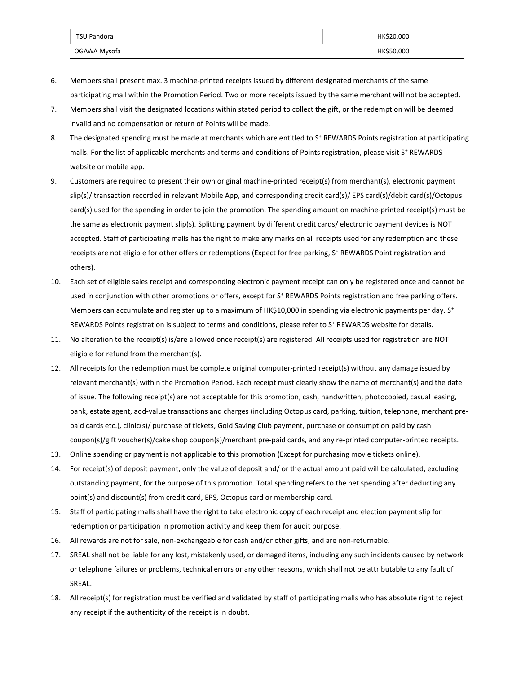| ITSU Pandora | HK\$20,000 |
|--------------|------------|
| OGAWA Mysofa | HK\$50,000 |

- 6. Members shall present max. 3 machine-printed receipts issued by different designated merchants of the same participating mall within the Promotion Period. Two or more receipts issued by the same merchant will not be accepted.
- 7. Members shall visit the designated locations within stated period to collect the gift, or the redemption will be deemed invalid and no compensation or return of Points will be made.
- 8. The designated spending must be made at merchants which are entitled to S<sup>+</sup> REWARDS Points registration at participating malls. For the list of applicable merchants and terms and conditions of Points registration, please visit S<sup>+</sup> REWARDS website or mobile app.
- 9. Customers are required to present their own original machine-printed receipt(s) from merchant(s), electronic payment slip(s)/ transaction recorded in relevant Mobile App, and corresponding credit card(s)/ EPS card(s)/debit card(s)/Octopus card(s) used for the spending in order to join the promotion. The spending amount on machine-printed receipt(s) must be the same as electronic payment slip(s). Splitting payment by different credit cards/ electronic payment devices is NOT accepted. Staff of participating malls has the right to make any marks on all receipts used for any redemption and these receipts are not eligible for other offers or redemptions (Expect for free parking, S<sup>+</sup> REWARDS Point registration and others).
- 10. Each set of eligible sales receipt and corresponding electronic payment receipt can only be registered once and cannot be used in conjunction with other promotions or offers, except for S<sup>+</sup> REWARDS Points registration and free parking offers. Members can accumulate and register up to a maximum of HK\$10,000 in spending via electronic payments per day. S<sup>+</sup> REWARDS Points registration is subject to terms and conditions, please refer to S<sup>+</sup> REWARDS website for details.
- 11. No alteration to the receipt(s) is/are allowed once receipt(s) are registered. All receipts used for registration are NOT eligible for refund from the merchant(s).
- 12. All receipts for the redemption must be complete original computer-printed receipt(s) without any damage issued by relevant merchant(s) within the Promotion Period. Each receipt must clearly show the name of merchant(s) and the date of issue. The following receipt(s) are not acceptable for this promotion, cash, handwritten, photocopied, casual leasing, bank, estate agent, add-value transactions and charges (including Octopus card, parking, tuition, telephone, merchant prepaid cards etc.), clinic(s)/ purchase of tickets, Gold Saving Club payment, purchase or consumption paid by cash coupon(s)/gift voucher(s)/cake shop coupon(s)/merchant pre-paid cards, and any re-printed computer-printed receipts.
- 13. Online spending or payment is not applicable to this promotion (Except for purchasing movie tickets online).
- 14. For receipt(s) of deposit payment, only the value of deposit and/ or the actual amount paid will be calculated, excluding outstanding payment, for the purpose of this promotion. Total spending refers to the net spending after deducting any point(s) and discount(s) from credit card, EPS, Octopus card or membership card.
- 15. Staff of participating malls shall have the right to take electronic copy of each receipt and election payment slip for redemption or participation in promotion activity and keep them for audit purpose.
- 16. All rewards are not for sale, non-exchangeable for cash and/or other gifts, and are non-returnable.
- 17. SREAL shall not be liable for any lost, mistakenly used, or damaged items, including any such incidents caused by network or telephone failures or problems, technical errors or any other reasons, which shall not be attributable to any fault of SREAL.
- 18. All receipt(s) for registration must be verified and validated by staff of participating malls who has absolute right to reject any receipt if the authenticity of the receipt is in doubt.